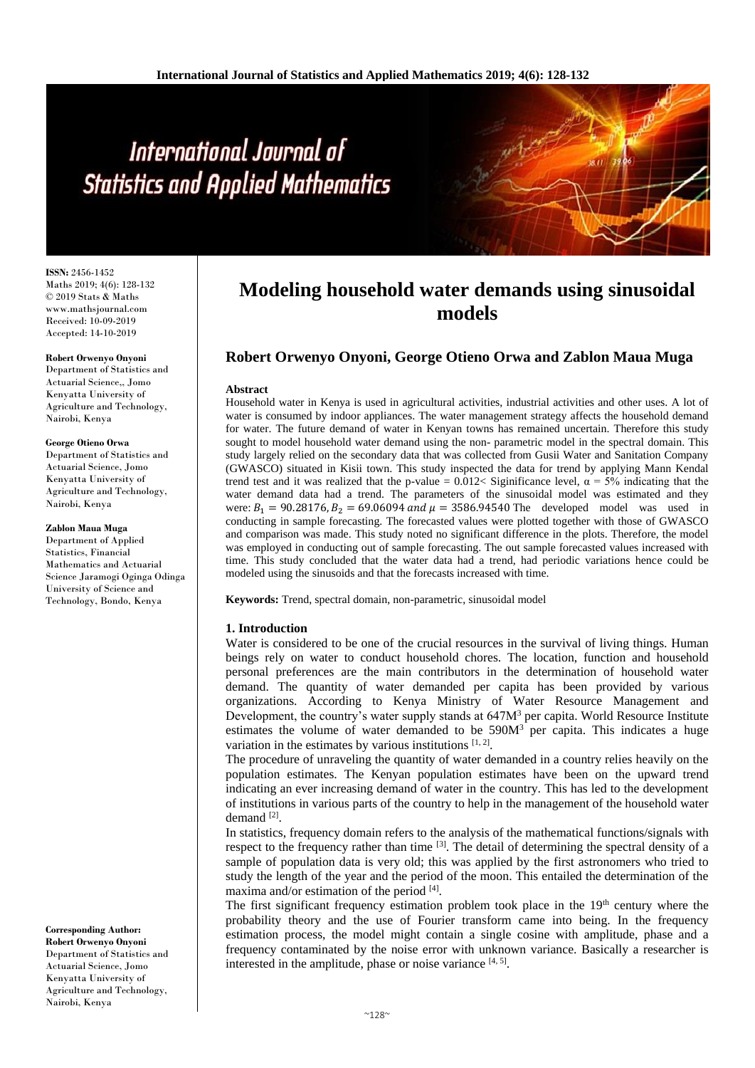# International Journal of **Statistics and Applied Mathematics**

**ISSN:** 2456-1452 Maths 2019; 4(6): 128-132 © 2019 Stats & Maths www.mathsjournal.com Received: 10-09-2019 Accepted: 14-10-2019

**Robert Orwenyo Onyoni**

Department of Statistics and Actuarial Science,, Jomo Kenyatta University of Agriculture and Technology, Nairobi, Kenya

#### **George Otieno Orwa**

Department of Statistics and Actuarial Science, Jomo Kenyatta University of Agriculture and Technology, Nairobi, Kenya

**Zablon Maua Muga**

Department of Applied Statistics, Financial Mathematics and Actuarial Science Jaramogi Oginga Odinga University of Science and Technology, Bondo, Kenya

**Corresponding Author: Robert Orwenyo Onyoni**

Department of Statistics and Actuarial Science, Jomo Kenyatta University of Agriculture and Technology, Nairobi, Kenya

## **Modeling household water demands using sinusoidal models**

### **Robert Orwenyo Onyoni, George Otieno Orwa and Zablon Maua Muga**

#### **Abstract**

Household water in Kenya is used in agricultural activities, industrial activities and other uses. A lot of water is consumed by indoor appliances. The water management strategy affects the household demand for water. The future demand of water in Kenyan towns has remained uncertain. Therefore this study sought to model household water demand using the non- parametric model in the spectral domain. This study largely relied on the secondary data that was collected from Gusii Water and Sanitation Company (GWASCO) situated in Kisii town. This study inspected the data for trend by applying Mann Kendal trend test and it was realized that the p-value =  $0.012 <$  Siginificance level,  $\alpha = 5\%$  indicating that the water demand data had a trend. The parameters of the sinusoidal model was estimated and they were:  $B_1 = 90.28176$ ,  $B_2 = 69.06094$  and  $\mu = 3586.94540$  The developed model was used in conducting in sample forecasting. The forecasted values were plotted together with those of GWASCO and comparison was made. This study noted no significant difference in the plots. Therefore, the model was employed in conducting out of sample forecasting. The out sample forecasted values increased with time. This study concluded that the water data had a trend, had periodic variations hence could be modeled using the sinusoids and that the forecasts increased with time.

**Keywords:** Trend, spectral domain, non-parametric, sinusoidal model

#### **1. Introduction**

Water is considered to be one of the crucial resources in the survival of living things. Human beings rely on water to conduct household chores. The location, function and household personal preferences are the main contributors in the determination of household water demand. The quantity of water demanded per capita has been provided by various organizations. According to Kenya Ministry of Water Resource Management and Development, the country's water supply stands at 647M<sup>3</sup> per capita. World Resource Institute estimates the volume of water demanded to be  $590M<sup>3</sup>$  per capita. This indicates a huge variation in the estimates by various institutions  $[1, 2]$ .

The procedure of unraveling the quantity of water demanded in a country relies heavily on the population estimates. The Kenyan population estimates have been on the upward trend indicating an ever increasing demand of water in the country. This has led to the development of institutions in various parts of the country to help in the management of the household water demand [2].

In statistics, frequency domain refers to the analysis of the mathematical functions/signals with respect to the frequency rather than time  $^{[3]}$ . The detail of determining the spectral density of a sample of population data is very old; this was applied by the first astronomers who tried to study the length of the year and the period of the moon. This entailed the determination of the maxima and/or estimation of the period [4].

The first significant frequency estimation problem took place in the  $19<sup>th</sup>$  century where the probability theory and the use of Fourier transform came into being. In the frequency estimation process, the model might contain a single cosine with amplitude, phase and a frequency contaminated by the noise error with unknown variance. Basically a researcher is interested in the amplitude, phase or noise variance  $[4, 5]$ .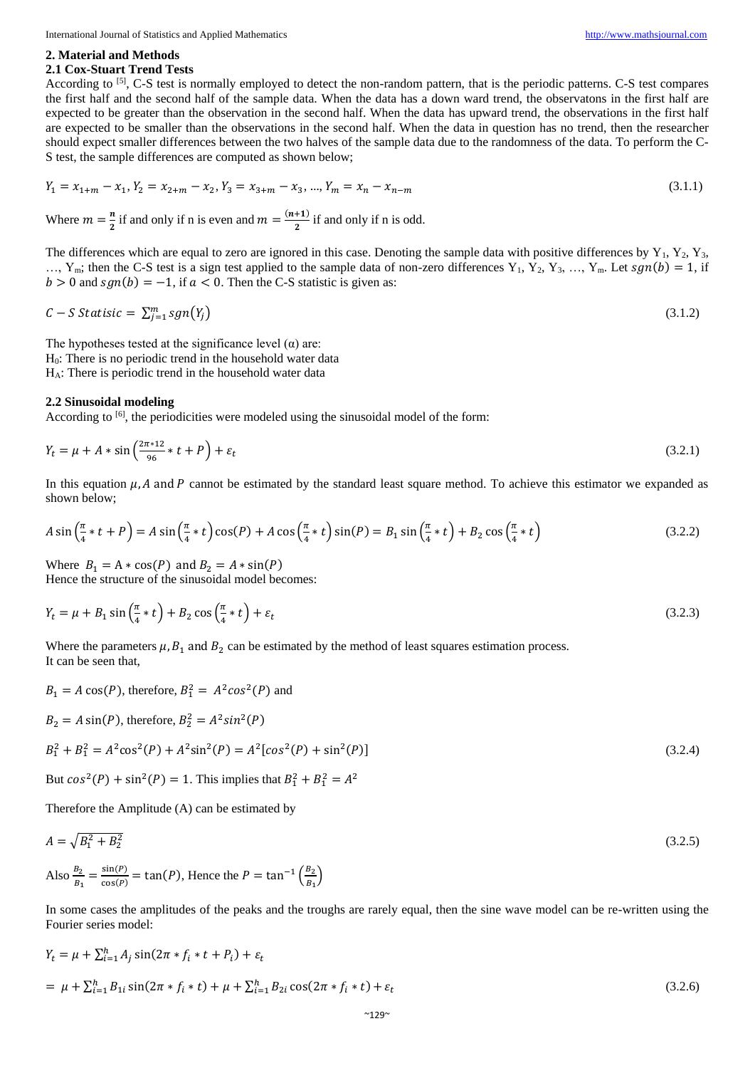International Journal of Statistics and Applied Mathematics [http://www.mathsjournal.com](http://www.mathsjournal.com/)

#### **2. Material and Methods**

#### **2.1 Cox-Stuart Trend Tests**

According to <sup>[5]</sup>, C-S test is normally employed to detect the non-random pattern, that is the periodic patterns. C-S test compares the first half and the second half of the sample data. When the data has a down ward trend, the observatons in the first half are expected to be greater than the observation in the second half. When the data has upward trend, the observations in the first half are expected to be smaller than the observations in the second half. When the data in question has no trend, then the researcher should expect smaller differences between the two halves of the sample data due to the randomness of the data. To perform the C-S test, the sample differences are computed as shown below;

$$
Y_1 = x_{1+m} - x_1, Y_2 = x_{2+m} - x_2, Y_3 = x_{3+m} - x_3, ..., Y_m = x_n - x_{n-m}
$$
\n(3.1.1)

Where  $m = \frac{n}{2}$  $\frac{n}{2}$  if and only if n is even and  $m = \frac{(n+1)}{2}$  $\frac{1}{2}$  if and only if n is odd.

The differences which are equal to zero are ignored in this case. Denoting the sample data with positive differences by  $Y_1$ ,  $Y_2$ ,  $Y_3$ , ..., Y<sub>m</sub>; then the C-S test is a sign test applied to the sample data of non-zero differences Y<sub>1</sub>, Y<sub>2</sub>, Y<sub>3</sub>, ..., Y<sub>m</sub>. Let  $sgn(b) = 1$ , if  $b > 0$  and  $sgn(b) = -1$ , if  $a < 0$ . Then the C-S statistic is given as:

$$
C - S \text{ statistic} = \sum_{j=1}^{m} sgn(Y_j) \tag{3.1.2}
$$

The hypotheses tested at the significance level  $(\alpha)$  are: H0: There is no periodic trend in the household water data HA: There is periodic trend in the household water data

#### **2.2 Sinusoidal modeling**

According to <sup>[6]</sup>, the periodicities were modeled using the sinusoidal model of the form:

$$
Y_t = \mu + A * \sin\left(\frac{2\pi * 12}{96} * t + P\right) + \varepsilon_t
$$
\n(3.2.1)

In this equation  $\mu$ , A and P cannot be estimated by the standard least square method. To achieve this estimator we expanded as shown below;

$$
A\sin\left(\frac{\pi}{4} * t + P\right) = A\sin\left(\frac{\pi}{4} * t\right)\cos(P) + A\cos\left(\frac{\pi}{4} * t\right)\sin(P) = B_1\sin\left(\frac{\pi}{4} * t\right) + B_2\cos\left(\frac{\pi}{4} * t\right)
$$
(3.2.2)

Where  $B_1 = A * cos(P)$  and  $B_2 = A * sin(P)$ Hence the structure of the sinusoidal model becomes:

$$
Y_t = \mu + B_1 \sin\left(\frac{\pi}{4} * t\right) + B_2 \cos\left(\frac{\pi}{4} * t\right) + \varepsilon_t \tag{3.2.3}
$$

Where the parameters  $\mu$ ,  $B_1$  and  $B_2$  can be estimated by the method of least squares estimation process. It can be seen that,

$$
B_1 = A \cos(P)
$$
, therefore,  $B_1^2 = A^2 \cos^2(P)$  and

$$
B_2 = A \sin(P)
$$
, therefore, 
$$
B_2^2 = A^2 \sin^2(P)
$$

$$
B_1^2 + B_1^2 = A^2 \cos^2(P) + A^2 \sin^2(P) = A^2 [\cos^2(P) + \sin^2(P)] \tag{3.2.4}
$$

But  $cos^2(P) + sin^2(P) = 1$ . This implies that  $B_1^2 + B_1^2 = A^2$ 

Therefore the Amplitude (A) can be estimated by

$$
A = \sqrt{B_1^2 + B_2^2}
$$
\n
$$
A \text{lso} \frac{B_2}{B_1} = \frac{\sin(P)}{\cos(P)} = \tan(P), \text{ Hence the } P = \tan^{-1}\left(\frac{B_2}{B_1}\right)
$$
\n(3.2.5)

In some cases the amplitudes of the peaks and the troughs are rarely equal, then the sine wave model can be re-written using the Fourier series model:

$$
Y_t = \mu + \sum_{i=1}^h A_i \sin(2\pi * f_i * t + P_i) + \varepsilon_t
$$
  
=  $\mu + \sum_{i=1}^h B_{1i} \sin(2\pi * f_i * t) + \mu + \sum_{i=1}^h B_{2i} \cos(2\pi * f_i * t) + \varepsilon_t$  (3.2.6)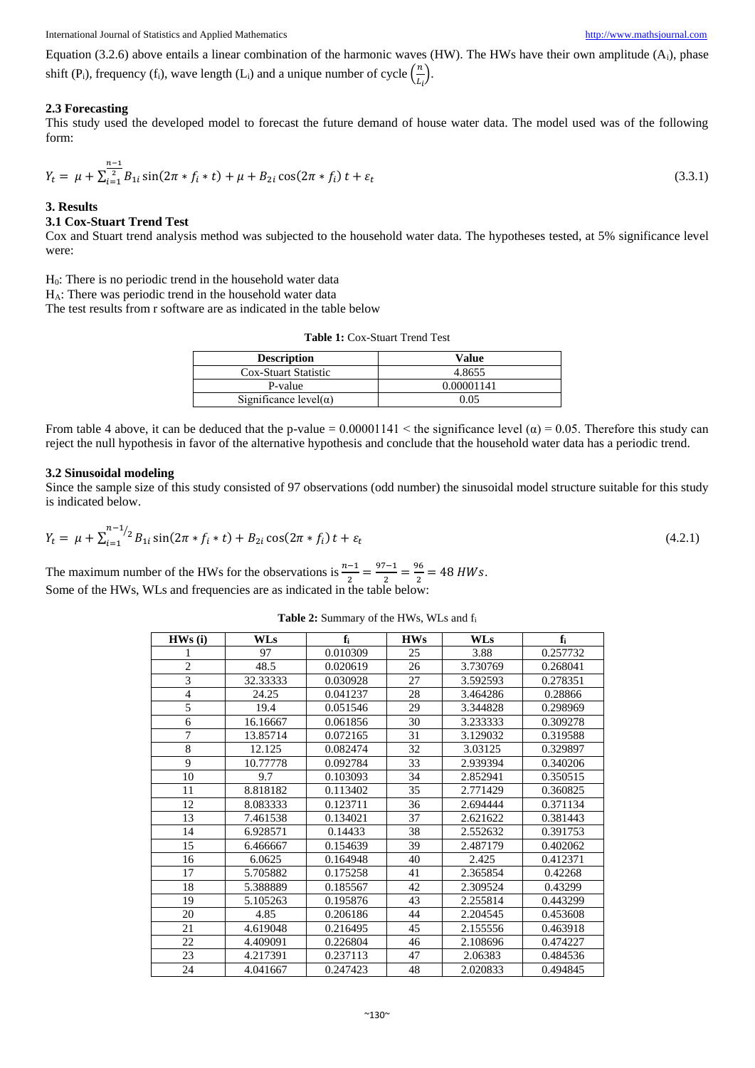Equation (3.2.6) above entails a linear combination of the harmonic waves (HW). The HWs have their own amplitude  $(A<sub>i</sub>)$ , phase shift (P<sub>i</sub>), frequency (f<sub>i</sub>), wave length (L<sub>i</sub>) and a unique number of cycle  $\left(\frac{n}{l}\right)$  $\frac{n}{L_i}$ ).

#### **2.3 Forecasting**

This study used the developed model to forecast the future demand of house water data. The model used was of the following form:

$$
Y_t = \mu + \sum_{i=1}^{\frac{n-1}{2}} B_{1i} \sin(2\pi * f_i * t) + \mu + B_{2i} \cos(2\pi * f_i) t + \varepsilon_t
$$
\n(3.3.1)

#### **3. Results**

#### **3.1 Cox-Stuart Trend Test**

Cox and Stuart trend analysis method was subjected to the household water data. The hypotheses tested, at 5% significance level were:

 $H<sub>0</sub>$ : There is no periodic trend in the household water data

 $H_A$ : There was periodic trend in the household water data

The test results from r software are as indicated in the table below

| <b>Description</b>             | Value      |
|--------------------------------|------------|
| Cox-Stuart Statistic           | 4.8655     |
| P-value                        | 0.00001141 |
| Significance level( $\alpha$ ) | 0.05       |

**Table 1:** Cox-Stuart Trend Test

From table 4 above, it can be deduced that the p-value =  $0.00001141 <$  the significance level ( $\alpha$ ) = 0.05. Therefore this study can reject the null hypothesis in favor of the alternative hypothesis and conclude that the household water data has a periodic trend.

#### **3.2 Sinusoidal modeling**

Since the sample size of this study consisted of 97 observations (odd number) the sinusoidal model structure suitable for this study is indicated below.

$$
Y_t = \mu + \sum_{i=1}^{n-1/2} B_{1i} \sin(2\pi * f_i * t) + B_{2i} \cos(2\pi * f_i) t + \varepsilon_t
$$
\n(4.2.1)

The maximum number of the HWs for the observations is  $\frac{n-1}{2} = \frac{97-1}{2}$  $\frac{7-1}{2} = \frac{96}{2}$  $\frac{96}{2}$  = 48 HWs. Some of the HWs, WLs and frequencies are as indicated in the table below:

**Table 2:** Summary of the HWs, WLs and f<sup>i</sup>

| HWS(i)         | WLs      | $f_i$    | <b>HWs</b> | <b>WLs</b> | fi       |
|----------------|----------|----------|------------|------------|----------|
|                | 97       | 0.010309 | 25         | 3.88       | 0.257732 |
| $\mathfrak{2}$ | 48.5     | 0.020619 | 26         | 3.730769   | 0.268041 |
| $\overline{3}$ | 32.33333 | 0.030928 | 27         | 3.592593   | 0.278351 |
| $\overline{4}$ | 24.25    | 0.041237 | 28         | 3.464286   | 0.28866  |
| 5              | 19.4     | 0.051546 | 29         | 3.344828   | 0.298969 |
| 6              | 16.16667 | 0.061856 | 30         | 3.233333   | 0.309278 |
| $\bar{7}$      | 13.85714 | 0.072165 | 31         | 3.129032   | 0.319588 |
| $\,$ 8 $\,$    | 12.125   | 0.082474 | 32         | 3.03125    | 0.329897 |
| 9              | 10.77778 | 0.092784 | 33         | 2.939394   | 0.340206 |
| 10             | 9.7      | 0.103093 | 34         | 2.852941   | 0.350515 |
| 11             | 8.818182 | 0.113402 | 35         | 2.771429   | 0.360825 |
| 12             | 8.083333 | 0.123711 | 36         | 2.694444   | 0.371134 |
| 13             | 7.461538 | 0.134021 | 37         | 2.621622   | 0.381443 |
| 14             | 6.928571 | 0.14433  | 38         | 2.552632   | 0.391753 |
| 15             | 6.466667 | 0.154639 | 39         | 2.487179   | 0.402062 |
| 16             | 6.0625   | 0.164948 | 40         | 2.425      | 0.412371 |
| 17             | 5.705882 | 0.175258 | 41         | 2.365854   | 0.42268  |
| 18             | 5.388889 | 0.185567 | 42         | 2.309524   | 0.43299  |
| 19             | 5.105263 | 0.195876 | 43         | 2.255814   | 0.443299 |
| 20             | 4.85     | 0.206186 | 44         | 2.204545   | 0.453608 |
| 21             | 4.619048 | 0.216495 | 45         | 2.155556   | 0.463918 |
| 22             | 4.409091 | 0.226804 | 46         | 2.108696   | 0.474227 |
| 23             | 4.217391 | 0.237113 | 47         | 2.06383    | 0.484536 |
| 24             | 4.041667 | 0.247423 | 48         | 2.020833   | 0.494845 |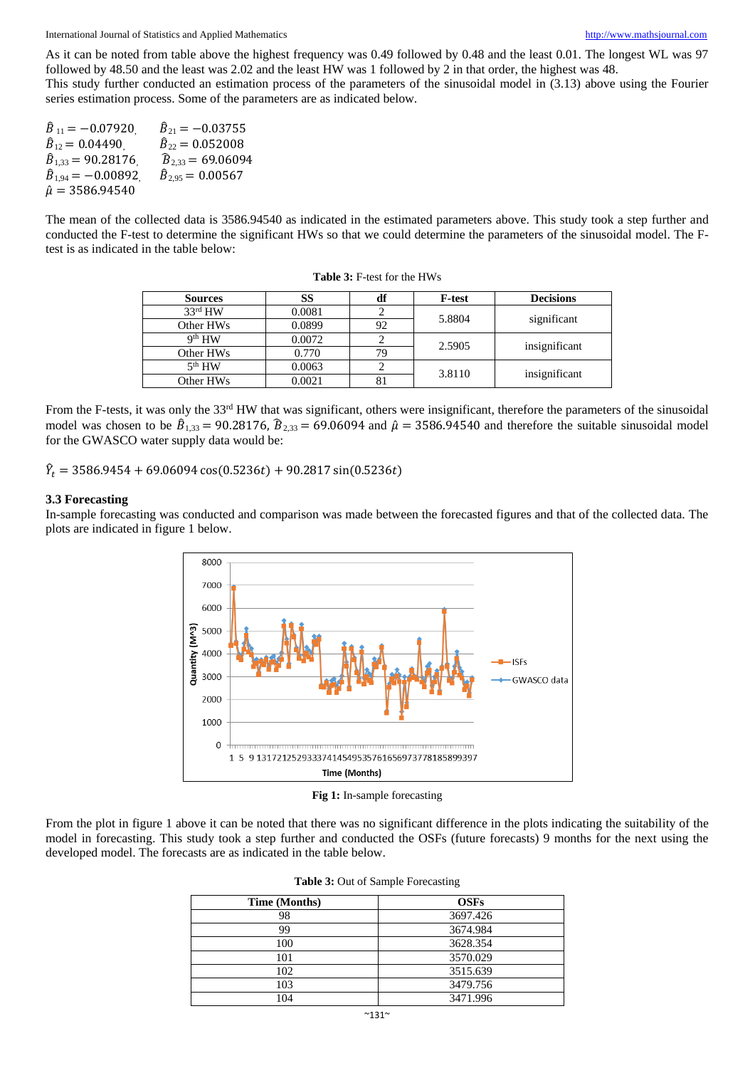International Journal of Statistics and Applied Mathematics [http://www.mathsjournal.com](http://www.mathsjournal.com/)

As it can be noted from table above the highest frequency was 0.49 followed by 0.48 and the least 0.01. The longest WL was 97 followed by 48.50 and the least was 2.02 and the least HW was 1 followed by 2 in that order, the highest was 48.

This study further conducted an estimation process of the parameters of the sinusoidal model in (3.13) above using the Fourier series estimation process. Some of the parameters are as indicated below.

| $\hat{B}_{11} = -0.07920$       | $\hat{B}_{21} = -0.03755$   |
|---------------------------------|-----------------------------|
| $\hat{B}_{12} = 0.04490$ .      | $\hat{B}_{22} = 0.052008$   |
| $\hat{B}_{1,33} = 90.28176$     | $\hat{B}_{2,33} = 69.06094$ |
| $\widehat{B}_{1.94} = -0.00892$ | $\hat{B}_{2.95} = 0.00567$  |
| $\hat{\mu} = 3586.94540$        |                             |

The mean of the collected data is 3586.94540 as indicated in the estimated parameters above. This study took a step further and conducted the F-test to determine the significant HWs so that we could determine the parameters of the sinusoidal model. The Ftest is as indicated in the table below:

| <b>Sources</b>      | SS     | df | <b>F-test</b> | <b>Decisions</b> |  |
|---------------------|--------|----|---------------|------------------|--|
| 33 <sup>rd</sup> HW | 0.0081 |    | 5.8804        | significant      |  |
| Other HWs           | 0.0899 | 92 |               |                  |  |
| 9 <sup>th</sup> HW  | 0.0072 |    | 2.5905        |                  |  |
| Other HWs           | 0.770  | 79 |               | insignificant    |  |
| 5 <sup>th</sup> HW  | 0.0063 |    | 3.8110        |                  |  |
| Other HWs           | 0.0021 |    |               | insignificant    |  |

**Table 3:** F-test for the HWs

From the F-tests, it was only the 33<sup>rd</sup> HW that was significant, others were insignificant, therefore the parameters of the sinusoidal model was chosen to be  $\hat{B}_{1,33} = 90.28176$ ,  $\hat{B}_{2,33} = 69.06094$  and  $\hat{\mu} = 3586.94540$  and therefore the suitable sinusoidal model for the GWASCO water supply data would be:

 $\hat{Y}_t = 3586.9454 + 69.06094 \cos(0.5236t) + 90.2817 \sin(0.5236t)$ 

#### **3.3 Forecasting**

In-sample forecasting was conducted and comparison was made between the forecasted figures and that of the collected data. The plots are indicated in figure 1 below.



**Fig 1:** In-sample forecasting

From the plot in figure 1 above it can be noted that there was no significant difference in the plots indicating the suitability of the model in forecasting. This study took a step further and conducted the OSFs (future forecasts) 9 months for the next using the developed model. The forecasts are as indicated in the table below.

| Time (Months) | <b>OSFs</b> |
|---------------|-------------|
| 98            | 3697.426    |
| 99            | 3674.984    |
| 100           | 3628.354    |
| 101           | 3570.029    |
| 102           | 3515.639    |
| 103           | 3479.756    |
| 104           | 3471.996    |